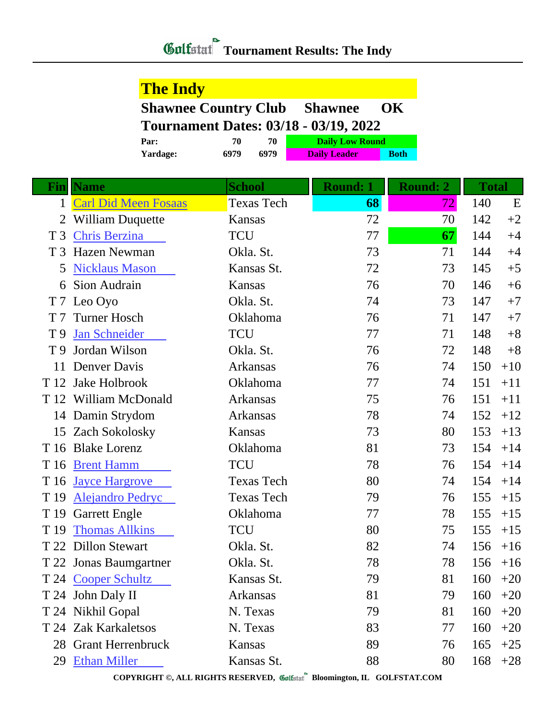## *Golfstat* Tournament Results: The Indy

## **The Indy**

| <b>Shawnee Country Club Shawnee OK</b>       |  |  |
|----------------------------------------------|--|--|
| <b>Tournament Dates: 03/18 - 03/19, 2022</b> |  |  |

| Par:     | 70   | 70   | <b>Daily Low Round</b> |             |
|----------|------|------|------------------------|-------------|
| Yardage: | 6979 | 6979 | <b>Daily Leader</b>    | <b>Both</b> |

| <b>Fin</b>     | <b>Name</b>             | <b>School</b>     | <b>Round: 1</b> | <b>Round: 2</b> | <b>Total</b> |       |
|----------------|-------------------------|-------------------|-----------------|-----------------|--------------|-------|
|                | 1 Carl Did Meen Fosaas  | <b>Texas Tech</b> | 68              | 72              | 140          | E     |
| 2              | <b>William Duquette</b> | Kansas            | 72              | 70              | 142          | $+2$  |
| T <sub>3</sub> | <b>Chris Berzina</b>    | <b>TCU</b>        | 77              | 67              | 144          | $+4$  |
|                | T 3 Hazen Newman        | Okla. St.         | 73              | 71              | 144          | $+4$  |
| 5              | <b>Nicklaus Mason</b>   | Kansas St.        | 72              | 73              | 145          | $+5$  |
| 6              | Sion Audrain            | Kansas            | 76              | 70              | 146          | $+6$  |
|                | T 7 Leo Oyo             | Okla. St.         | 74              | 73              | 147          | $+7$  |
| T <sub>7</sub> | <b>Turner Hosch</b>     | Oklahoma          | 76              | 71              | 147          | $+7$  |
| T <sub>9</sub> | <b>Jan Schneider</b>    | <b>TCU</b>        | 77              | 71              | 148          | $+8$  |
| T 9            | Jordan Wilson           | Okla. St.         | 76              | 72              | 148          | $+8$  |
| 11             | Denver Davis            | Arkansas          | 76              | 74              | 150          | $+10$ |
| T 12           | Jake Holbrook           | Oklahoma          | 77              | 74              | 151          | $+11$ |
|                | T 12 William McDonald   | <b>Arkansas</b>   | 75              | 76              | 151          | $+11$ |
|                | 14 Damin Strydom        | <b>Arkansas</b>   | 78              | 74              | 152          | $+12$ |
|                | 15 Zach Sokolosky       | Kansas            | 73              | 80              | 153          | $+13$ |
|                | T 16 Blake Lorenz       | Oklahoma          | 81              | 73              | 154          | $+14$ |
| T 16           | <b>Brent Hamm</b>       | <b>TCU</b>        | 78              | 76              | 154          | $+14$ |
|                | T 16 Jayce Hargrove     | <b>Texas Tech</b> | 80              | 74              | 154          | $+14$ |
| T 19           | <b>Alejandro Pedryc</b> | <b>Texas Tech</b> | 79              | 76              | 155          | $+15$ |
|                | T 19 Garrett Engle      | Oklahoma          | 77              | 78              | 155          | $+15$ |
| T 19           | <b>Thomas Allkins</b>   | <b>TCU</b>        | 80              | 75              | 155          | $+15$ |
|                | T 22 Dillon Stewart     | Okla. St.         | 82              | 74              | 156          | $+16$ |
|                | T 22 Jonas Baumgartner  | Okla. St.         | 78              | 78              | 156          | $+16$ |
|                | T 24 Cooper Schultz     | Kansas St.        | 79              | 81              | 160          | $+20$ |
|                | T 24 John Daly II       | Arkansas          | 81              | 79              | 160          | $+20$ |
|                | T 24 Nikhil Gopal       | N. Texas          | 79              | 81              | 160          | $+20$ |
|                | T 24 Zak Karkaletsos    | N. Texas          | 83              | 77              | 160          | $+20$ |
|                | 28 Grant Herrenbruck    | Kansas            | 89              | 76              | 165          | $+25$ |
| 29             | <b>Ethan Miller</b>     | Kansas St.        | 88              | 80              | 168          | $+28$ |

**COPYRIGHT ©, ALL RIGHTS RESERVED, Bloomington, IL GOLFSTAT.COM**